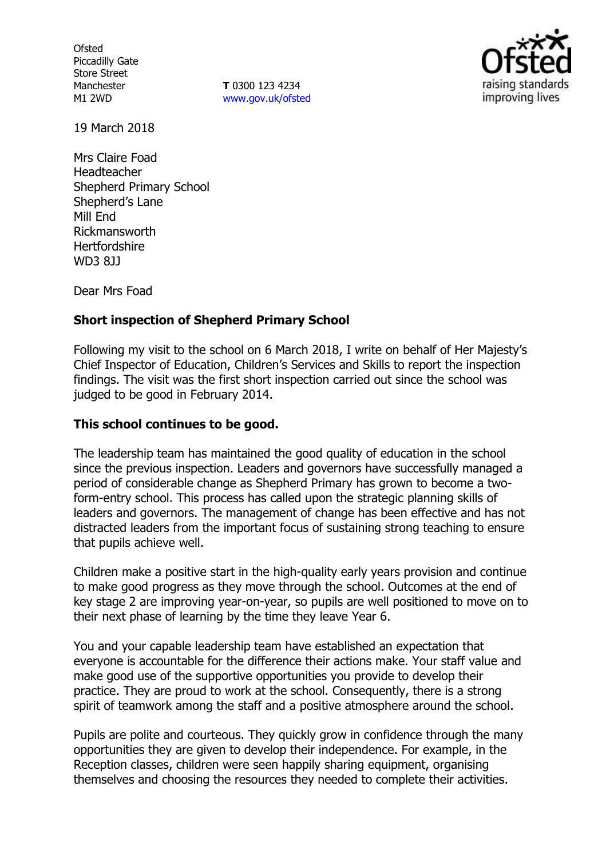**Ofsted** Piccadilly Gate Store Street Manchester M1 2WD

**T** 0300 123 4234 www.gov.uk/ofsted



19 March 2018

Mrs Claire Foad Headteacher Shepherd Primary School Shepherd's Lane Mill End Rickmansworth **Hertfordshire** WD3 8JJ

Dear Mrs Foad

# **Short inspection of Shepherd Primary School**

Following my visit to the school on 6 March 2018, I write on behalf of Her Majesty's Chief Inspector of Education, Children's Services and Skills to report the inspection findings. The visit was the first short inspection carried out since the school was judged to be good in February 2014.

## **This school continues to be good.**

The leadership team has maintained the good quality of education in the school since the previous inspection. Leaders and governors have successfully managed a period of considerable change as Shepherd Primary has grown to become a twoform-entry school. This process has called upon the strategic planning skills of leaders and governors. The management of change has been effective and has not distracted leaders from the important focus of sustaining strong teaching to ensure that pupils achieve well.

Children make a positive start in the high-quality early years provision and continue to make good progress as they move through the school. Outcomes at the end of key stage 2 are improving year-on-year, so pupils are well positioned to move on to their next phase of learning by the time they leave Year 6.

You and your capable leadership team have established an expectation that everyone is accountable for the difference their actions make. Your staff value and make good use of the supportive opportunities you provide to develop their practice. They are proud to work at the school. Consequently, there is a strong spirit of teamwork among the staff and a positive atmosphere around the school.

Pupils are polite and courteous. They quickly grow in confidence through the many opportunities they are given to develop their independence. For example, in the Reception classes, children were seen happily sharing equipment, organising themselves and choosing the resources they needed to complete their activities.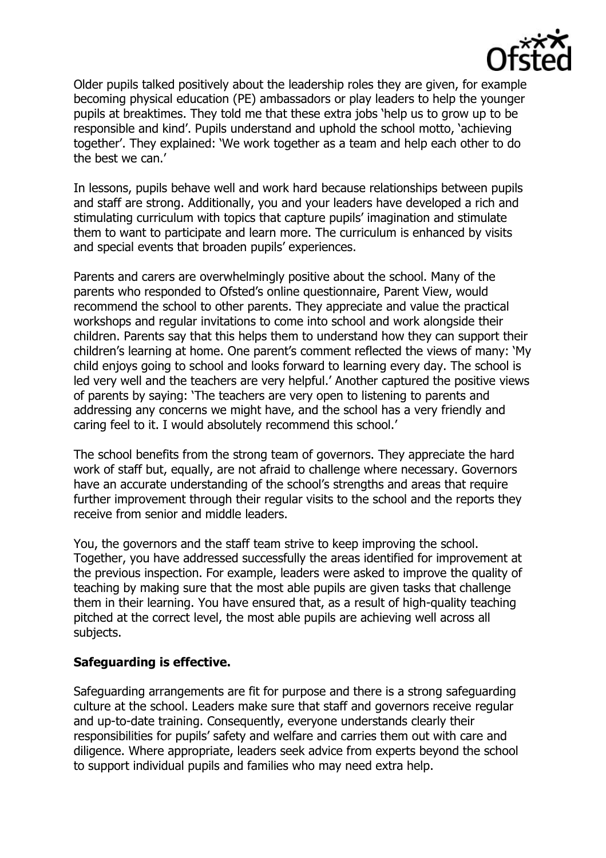

Older pupils talked positively about the leadership roles they are given, for example becoming physical education (PE) ambassadors or play leaders to help the younger pupils at breaktimes. They told me that these extra jobs 'help us to grow up to be responsible and kind'. Pupils understand and uphold the school motto, 'achieving together'. They explained: 'We work together as a team and help each other to do the best we can.'

In lessons, pupils behave well and work hard because relationships between pupils and staff are strong. Additionally, you and your leaders have developed a rich and stimulating curriculum with topics that capture pupils' imagination and stimulate them to want to participate and learn more. The curriculum is enhanced by visits and special events that broaden pupils' experiences.

Parents and carers are overwhelmingly positive about the school. Many of the parents who responded to Ofsted's online questionnaire, Parent View, would recommend the school to other parents. They appreciate and value the practical workshops and regular invitations to come into school and work alongside their children. Parents say that this helps them to understand how they can support their children's learning at home. One parent's comment reflected the views of many: 'My child enjoys going to school and looks forward to learning every day. The school is led very well and the teachers are very helpful.' Another captured the positive views of parents by saying: 'The teachers are very open to listening to parents and addressing any concerns we might have, and the school has a very friendly and caring feel to it. I would absolutely recommend this school.'

The school benefits from the strong team of governors. They appreciate the hard work of staff but, equally, are not afraid to challenge where necessary. Governors have an accurate understanding of the school's strengths and areas that require further improvement through their regular visits to the school and the reports they receive from senior and middle leaders.

You, the governors and the staff team strive to keep improving the school. Together, you have addressed successfully the areas identified for improvement at the previous inspection. For example, leaders were asked to improve the quality of teaching by making sure that the most able pupils are given tasks that challenge them in their learning. You have ensured that, as a result of high-quality teaching pitched at the correct level, the most able pupils are achieving well across all subjects.

### **Safeguarding is effective.**

Safeguarding arrangements are fit for purpose and there is a strong safeguarding culture at the school. Leaders make sure that staff and governors receive regular and up-to-date training. Consequently, everyone understands clearly their responsibilities for pupils' safety and welfare and carries them out with care and diligence. Where appropriate, leaders seek advice from experts beyond the school to support individual pupils and families who may need extra help.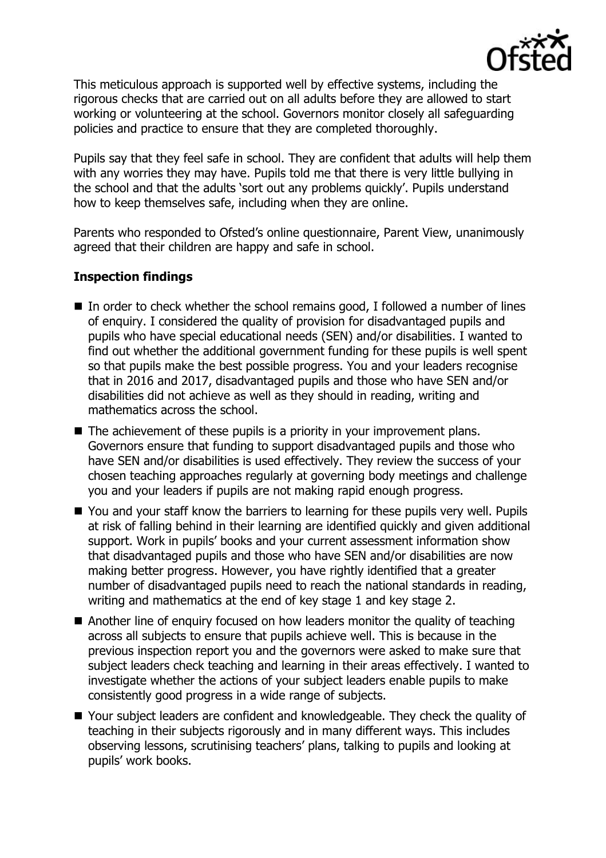

This meticulous approach is supported well by effective systems, including the rigorous checks that are carried out on all adults before they are allowed to start working or volunteering at the school. Governors monitor closely all safeguarding policies and practice to ensure that they are completed thoroughly.

Pupils say that they feel safe in school. They are confident that adults will help them with any worries they may have. Pupils told me that there is very little bullying in the school and that the adults 'sort out any problems quickly'. Pupils understand how to keep themselves safe, including when they are online.

Parents who responded to Ofsted's online questionnaire, Parent View, unanimously agreed that their children are happy and safe in school.

# **Inspection findings**

- $\blacksquare$  In order to check whether the school remains good, I followed a number of lines of enquiry. I considered the quality of provision for disadvantaged pupils and pupils who have special educational needs (SEN) and/or disabilities. I wanted to find out whether the additional government funding for these pupils is well spent so that pupils make the best possible progress. You and your leaders recognise that in 2016 and 2017, disadvantaged pupils and those who have SEN and/or disabilities did not achieve as well as they should in reading, writing and mathematics across the school.
- $\blacksquare$  The achievement of these pupils is a priority in your improvement plans. Governors ensure that funding to support disadvantaged pupils and those who have SEN and/or disabilities is used effectively. They review the success of your chosen teaching approaches regularly at governing body meetings and challenge you and your leaders if pupils are not making rapid enough progress.
- You and your staff know the barriers to learning for these pupils very well. Pupils at risk of falling behind in their learning are identified quickly and given additional support. Work in pupils' books and your current assessment information show that disadvantaged pupils and those who have SEN and/or disabilities are now making better progress. However, you have rightly identified that a greater number of disadvantaged pupils need to reach the national standards in reading, writing and mathematics at the end of key stage 1 and key stage 2.
- Another line of enquiry focused on how leaders monitor the quality of teaching across all subjects to ensure that pupils achieve well. This is because in the previous inspection report you and the governors were asked to make sure that subject leaders check teaching and learning in their areas effectively. I wanted to investigate whether the actions of your subject leaders enable pupils to make consistently good progress in a wide range of subjects.
- Your subject leaders are confident and knowledgeable. They check the quality of teaching in their subjects rigorously and in many different ways. This includes observing lessons, scrutinising teachers' plans, talking to pupils and looking at pupils' work books.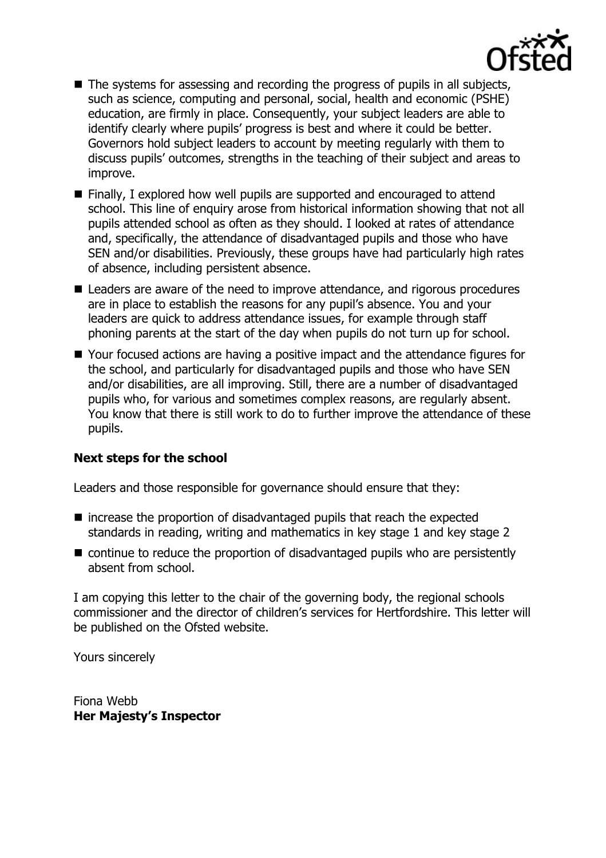

- The systems for assessing and recording the progress of pupils in all subjects, such as science, computing and personal, social, health and economic (PSHE) education, are firmly in place. Consequently, your subject leaders are able to identify clearly where pupils' progress is best and where it could be better. Governors hold subject leaders to account by meeting regularly with them to discuss pupils' outcomes, strengths in the teaching of their subject and areas to improve.
- Finally, I explored how well pupils are supported and encouraged to attend school. This line of enquiry arose from historical information showing that not all pupils attended school as often as they should. I looked at rates of attendance and, specifically, the attendance of disadvantaged pupils and those who have SEN and/or disabilities. Previously, these groups have had particularly high rates of absence, including persistent absence.
- Leaders are aware of the need to improve attendance, and rigorous procedures are in place to establish the reasons for any pupil's absence. You and your leaders are quick to address attendance issues, for example through staff phoning parents at the start of the day when pupils do not turn up for school.
- Your focused actions are having a positive impact and the attendance figures for the school, and particularly for disadvantaged pupils and those who have SEN and/or disabilities, are all improving. Still, there are a number of disadvantaged pupils who, for various and sometimes complex reasons, are regularly absent. You know that there is still work to do to further improve the attendance of these pupils.

### **Next steps for the school**

Leaders and those responsible for governance should ensure that they:

- $\blacksquare$  increase the proportion of disadvantaged pupils that reach the expected standards in reading, writing and mathematics in key stage 1 and key stage 2
- continue to reduce the proportion of disadvantaged pupils who are persistently absent from school.

I am copying this letter to the chair of the governing body, the regional schools commissioner and the director of children's services for Hertfordshire. This letter will be published on the Ofsted website.

Yours sincerely

Fiona Webb **Her Majesty's Inspector**